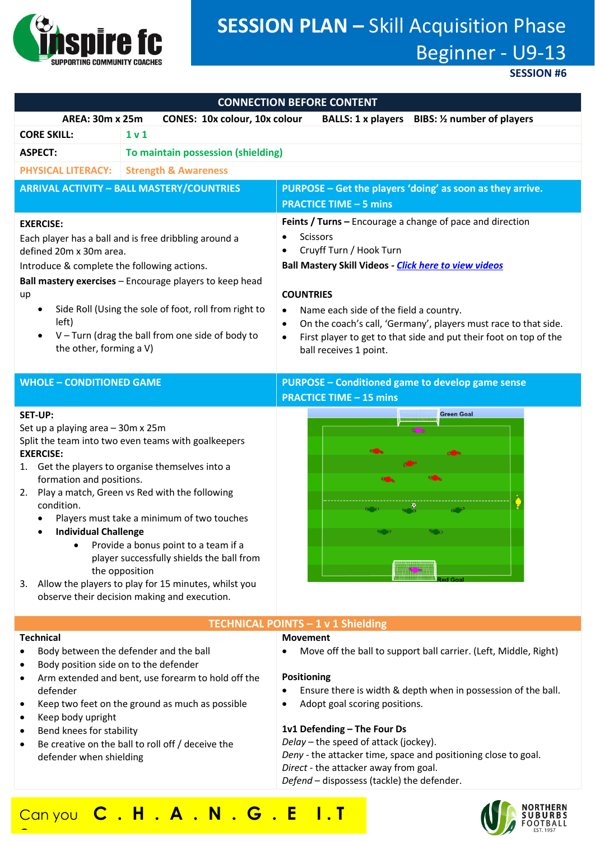

# **SESSION PLAN –** Skill Acquisition Phase Beginner - U9-13

**SESSION #6**

| <b>CONNECTION BEFORE CONTENT</b>                                                                                                                                                                                                                                                                                                                                                                                                                                                                                                                                                                |                                                                                                                                                                                                      |                                                                                                                                                                                                                                                                                                                                                                                                                      |
|-------------------------------------------------------------------------------------------------------------------------------------------------------------------------------------------------------------------------------------------------------------------------------------------------------------------------------------------------------------------------------------------------------------------------------------------------------------------------------------------------------------------------------------------------------------------------------------------------|------------------------------------------------------------------------------------------------------------------------------------------------------------------------------------------------------|----------------------------------------------------------------------------------------------------------------------------------------------------------------------------------------------------------------------------------------------------------------------------------------------------------------------------------------------------------------------------------------------------------------------|
| <b>AREA: 30m x 25m</b><br><b>CONES: 10x colour, 10x colour</b><br>BALLS: 1 x players BIBS: 1/2 number of players                                                                                                                                                                                                                                                                                                                                                                                                                                                                                |                                                                                                                                                                                                      |                                                                                                                                                                                                                                                                                                                                                                                                                      |
| <b>CORE SKILL:</b>                                                                                                                                                                                                                                                                                                                                                                                                                                                                                                                                                                              | 1 v 1                                                                                                                                                                                                |                                                                                                                                                                                                                                                                                                                                                                                                                      |
| <b>ASPECT:</b>                                                                                                                                                                                                                                                                                                                                                                                                                                                                                                                                                                                  | To maintain possession (shielding)                                                                                                                                                                   |                                                                                                                                                                                                                                                                                                                                                                                                                      |
| <b>PHYSICAL LITERACY:</b>                                                                                                                                                                                                                                                                                                                                                                                                                                                                                                                                                                       | <b>Strength &amp; Awareness</b>                                                                                                                                                                      |                                                                                                                                                                                                                                                                                                                                                                                                                      |
| <b>ARRIVAL ACTIVITY - BALL MASTERY/COUNTRIES</b>                                                                                                                                                                                                                                                                                                                                                                                                                                                                                                                                                |                                                                                                                                                                                                      | PURPOSE - Get the players 'doing' as soon as they arrive.<br><b>PRACTICE TIME - 5 mins</b>                                                                                                                                                                                                                                                                                                                           |
| <b>EXERCISE:</b><br>Each player has a ball and is free dribbling around a<br>defined 20m x 30m area.<br>Introduce & complete the following actions.<br>Ball mastery exercises - Encourage players to keep head<br>up<br>Side Roll (Using the sole of foot, roll from right to<br>$\bullet$<br>left)<br>$V$ – Turn (drag the ball from one side of body to<br>the other, forming a V)                                                                                                                                                                                                            |                                                                                                                                                                                                      | Feints / Turns - Encourage a change of pace and direction<br><b>Scissors</b><br>Cruyff Turn / Hook Turn<br><b>Ball Mastery Skill Videos - Click here to view videos</b><br><b>COUNTRIES</b><br>Name each side of the field a country.<br>$\bullet$<br>On the coach's call, 'Germany', players must race to that side.<br>First player to get to that side and put their foot on top of the<br>ball receives 1 point. |
| <b>WHOLE - CONDITIONED GAME</b>                                                                                                                                                                                                                                                                                                                                                                                                                                                                                                                                                                 |                                                                                                                                                                                                      | <b>PURPOSE - Conditioned game to develop game sense</b><br><b>PRACTICE TIME - 15 mins</b>                                                                                                                                                                                                                                                                                                                            |
| <b>SET-UP:</b><br>Set up a playing area - 30m x 25m<br>Split the team into two even teams with goalkeepers<br><b>EXERCISE:</b><br>1. Get the players to organise themselves into a<br>formation and positions.<br>2. Play a match, Green vs Red with the following<br>condition.<br>Players must take a minimum of two touches<br><b>Individual Challenge</b><br>$\bullet$<br>Provide a bonus point to a team if a<br>player successfully shields the ball from<br>the opposition<br>Allow the players to play for 15 minutes, whilst you<br>3.<br>observe their decision making and execution. |                                                                                                                                                                                                      | <b>Green Goal</b>                                                                                                                                                                                                                                                                                                                                                                                                    |
| TECHNICAL POINTS - 1 v 1 Shielding                                                                                                                                                                                                                                                                                                                                                                                                                                                                                                                                                              |                                                                                                                                                                                                      |                                                                                                                                                                                                                                                                                                                                                                                                                      |
| <b>Technical</b><br>Body position side on to the defender<br>defender<br>Keep body upright<br>Bend knees for stability<br>defender when shielding                                                                                                                                                                                                                                                                                                                                                                                                                                               | Body between the defender and the ball<br>Arm extended and bent, use forearm to hold off the<br>Keep two feet on the ground as much as possible<br>Be creative on the ball to roll off / deceive the | <b>Movement</b><br>Move off the ball to support ball carrier. (Left, Middle, Right)<br>Positioning<br>Ensure there is width & depth when in possession of the ball.<br>Adopt goal scoring positions.<br>1v1 Defending - The Four Ds<br>Delay - the speed of attack (jockey).<br>Deny - the attacker time, space and positioning close to goal.<br>Direct - the attacker away from goal.                              |

# *Defend* – dispossess (tackle) the defender.

# Can you **C . H . A . N . G . E I . T**

**?**